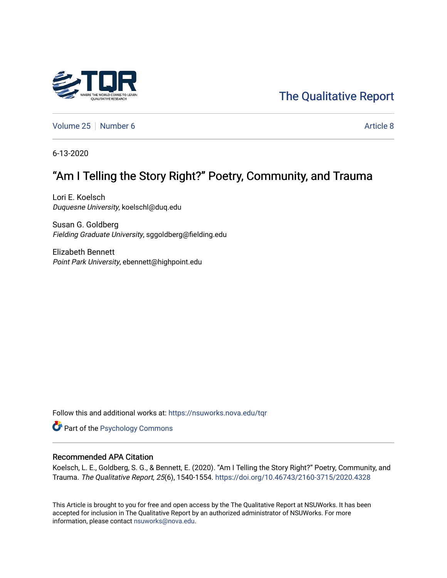# [The Qualitative Report](https://nsuworks.nova.edu/tqr)

[Volume 25](https://nsuworks.nova.edu/tqr/vol25) [Number 6](https://nsuworks.nova.edu/tqr/vol25/iss6) [Article 8](https://nsuworks.nova.edu/tqr/vol25/iss6/8) Article 8

6-13-2020

# "Am I Telling the Story Right?" Poetry, Community, and Trauma

Lori E. Koelsch Duquesne University, koelschl@duq.edu

Susan G. Goldberg Fielding Graduate University, sggoldberg@fielding.edu

Elizabeth Bennett Point Park University, ebennett@highpoint.edu

Follow this and additional works at: [https://nsuworks.nova.edu/tqr](https://nsuworks.nova.edu/tqr?utm_source=nsuworks.nova.edu%2Ftqr%2Fvol25%2Fiss6%2F8&utm_medium=PDF&utm_campaign=PDFCoverPages) 

Part of the [Psychology Commons](http://network.bepress.com/hgg/discipline/404?utm_source=nsuworks.nova.edu%2Ftqr%2Fvol25%2Fiss6%2F8&utm_medium=PDF&utm_campaign=PDFCoverPages) 

### Recommended APA Citation

Koelsch, L. E., Goldberg, S. G., & Bennett, E. (2020). "Am I Telling the Story Right?" Poetry, Community, and Trauma. The Qualitative Report, 25(6), 1540-1554. <https://doi.org/10.46743/2160-3715/2020.4328>

This Article is brought to you for free and open access by the The Qualitative Report at NSUWorks. It has been accepted for inclusion in The Qualitative Report by an authorized administrator of NSUWorks. For more information, please contact [nsuworks@nova.edu.](mailto:nsuworks@nova.edu)

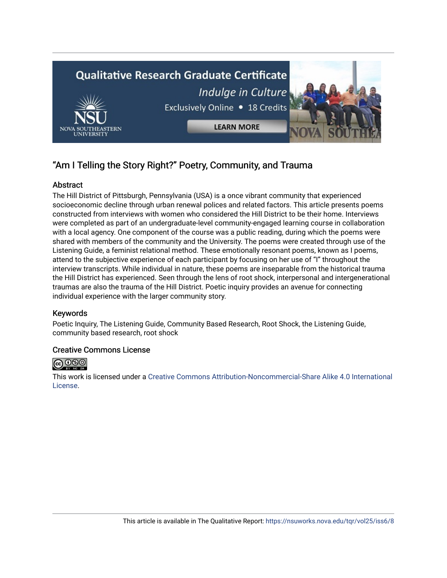

## "Am I Telling the Story Right?" Poetry, Community, and Trauma

## Abstract

The Hill District of Pittsburgh, Pennsylvania (USA) is a once vibrant community that experienced socioeconomic decline through urban renewal polices and related factors. This article presents poems constructed from interviews with women who considered the Hill District to be their home. Interviews were completed as part of an undergraduate-level community-engaged learning course in collaboration with a local agency. One component of the course was a public reading, during which the poems were shared with members of the community and the University. The poems were created through use of the Listening Guide, a feminist relational method. These emotionally resonant poems, known as I poems, attend to the subjective experience of each participant by focusing on her use of "I" throughout the interview transcripts. While individual in nature, these poems are inseparable from the historical trauma the Hill District has experienced. Seen through the lens of root shock, interpersonal and intergenerational traumas are also the trauma of the Hill District. Poetic inquiry provides an avenue for connecting individual experience with the larger community story.

## Keywords

Poetic Inquiry, The Listening Guide, Community Based Research, Root Shock, the Listening Guide, community based research, root shock

## Creative Commons License



This work is licensed under a [Creative Commons Attribution-Noncommercial-Share Alike 4.0 International](https://creativecommons.org/licenses/by-nc-sa/4.0/)  [License](https://creativecommons.org/licenses/by-nc-sa/4.0/).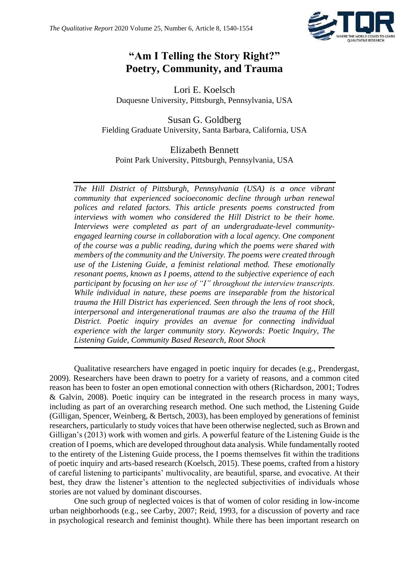

## **"Am I Telling the Story Right?" Poetry, Community, and Trauma**

Lori E. Koelsch Duquesne University, Pittsburgh, Pennsylvania, USA

Susan G. Goldberg Fielding Graduate University, Santa Barbara, California, USA

Elizabeth Bennett Point Park University, Pittsburgh, Pennsylvania, USA

*The Hill District of Pittsburgh, Pennsylvania (USA) is a once vibrant community that experienced socioeconomic decline through urban renewal polices and related factors. This article presents poems constructed from interviews with women who considered the Hill District to be their home. Interviews were completed as part of an undergraduate-level communityengaged learning course in collaboration with a local agency. One component of the course was a public reading, during which the poems were shared with members of the community and the University. The poems were created through use of the Listening Guide, a feminist relational method. These emotionally resonant poems, known as I poems, attend to the subjective experience of each participant by focusing on her use of "I" throughout the interview transcripts. While individual in nature, these poems are inseparable from the historical trauma the Hill District has experienced. Seen through the lens of root shock, interpersonal and intergenerational traumas are also the trauma of the Hill District. Poetic inquiry provides an avenue for connecting individual experience with the larger community story. Keywords: Poetic Inquiry, The Listening Guide, Community Based Research, Root Shock*

Qualitative researchers have engaged in poetic inquiry for decades (e.g., Prendergast, 2009). Researchers have been drawn to poetry for a variety of reasons, and a common cited reason has been to foster an open emotional connection with others (Richardson, 2001; Todres & Galvin, 2008). Poetic inquiry can be integrated in the research process in many ways, including as part of an overarching research method. One such method, the Listening Guide (Gilligan, Spencer, Weinberg, & Bertsch, 2003), has been employed by generations of feminist researchers, particularly to study voices that have been otherwise neglected, such as Brown and Gilligan's (2013) work with women and girls. A powerful feature of the Listening Guide is the creation of I poems, which are developed throughout data analysis. While fundamentally rooted to the entirety of the Listening Guide process, the I poems themselves fit within the traditions of poetic inquiry and arts-based research (Koelsch, 2015). These poems, crafted from a history of careful listening to participants' multivocality, are beautiful, sparse, and evocative. At their best, they draw the listener's attention to the neglected subjectivities of individuals whose stories are not valued by dominant discourses.

One such group of neglected voices is that of women of color residing in low-income urban neighborhoods (e.g., see Carby, 2007; Reid, 1993, for a discussion of poverty and race in psychological research and feminist thought). While there has been important research on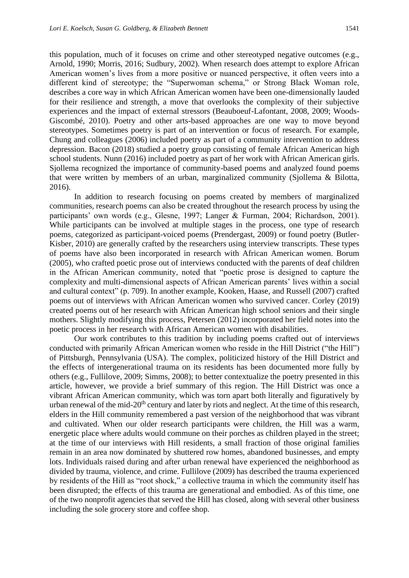this population, much of it focuses on crime and other stereotyped negative outcomes (e.g., Arnold, 1990; Morris, 2016; Sudbury, 2002). When research does attempt to explore African American women's lives from a more positive or nuanced perspective, it often veers into a different kind of stereotype; the "Superwoman schema," or Strong Black Woman role, describes a core way in which African American women have been one-dimensionally lauded for their resilience and strength, a move that overlooks the complexity of their subjective experiences and the impact of external stressors (Beauboeuf-Lafontant, 2008, 2009; Woods-Giscombé, 2010). Poetry and other arts-based approaches are one way to move beyond stereotypes. Sometimes poetry is part of an intervention or focus of research. For example, Chung and colleagues (2006) included poetry as part of a community intervention to address depression. Bacon (2018) studied a poetry group consisting of female African American high school students. Nunn (2016) included poetry as part of her work with African American girls. Sjollema recognized the importance of community-based poems and analyzed found poems that were written by members of an urban, marginalized community (Sjollema & Bilotta, 2016).

In addition to research focusing on poems created by members of marginalized communities, research poems can also be created throughout the research process by using the participants' own words (e.g., Glesne, 1997; Langer & Furman, 2004; Richardson, 2001). While participants can be involved at multiple stages in the process, one type of research poems, categorized as participant-voiced poems (Prendergast, 2009) or found poetry (Butler-Kisber, 2010) are generally crafted by the researchers using interview transcripts. These types of poems have also been incorporated in research with African American women. Borum (2005), who crafted poetic prose out of interviews conducted with the parents of deaf children in the African American community, noted that "poetic prose is designed to capture the complexity and multi-dimensional aspects of African American parents' lives within a social and cultural context" (p. 709). In another example, Kooken, Haase, and Russell (2007) crafted poems out of interviews with African American women who survived cancer. Corley (2019) created poems out of her research with African American high school seniors and their single mothers. Slightly modifying this process, Petersen (2012) incorporated her field notes into the poetic process in her research with African American women with disabilities.

Our work contributes to this tradition by including poems crafted out of interviews conducted with primarily African American women who reside in the Hill District ("the Hill") of Pittsburgh, Pennsylvania (USA). The complex, politicized history of the Hill District and the effects of intergenerational trauma on its residents has been documented more fully by others (e.g., Fullilove, 2009; Simms, 2008); to better contextualize the poetry presented in this article, however, we provide a brief summary of this region. The Hill District was once a vibrant African American community, which was torn apart both literally and figuratively by urban renewal of the mid-20<sup>th</sup> century and later by riots and neglect. At the time of this research, elders in the Hill community remembered a past version of the neighborhood that was vibrant and cultivated. When our older research participants were children, the Hill was a warm, energetic place where adults would commune on their porches as children played in the street; at the time of our interviews with Hill residents, a small fraction of those original families remain in an area now dominated by shuttered row homes, abandoned businesses, and empty lots. Individuals raised during and after urban renewal have experienced the neighborhood as divided by trauma, violence, and crime. Fullilove (2009) has described the trauma experienced by residents of the Hill as "root shock," a collective trauma in which the community itself has been disrupted; the effects of this trauma are generational and embodied. As of this time, one of the two nonprofit agencies that served the Hill has closed, along with several other business including the sole grocery store and coffee shop.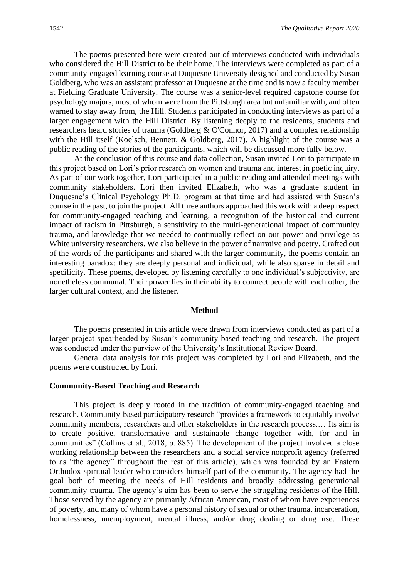The poems presented here were created out of interviews conducted with individuals who considered the Hill District to be their home. The interviews were completed as part of a community-engaged learning course at Duquesne University designed and conducted by Susan Goldberg, who was an assistant professor at Duquesne at the time and is now a faculty member at Fielding Graduate University. The course was a senior-level required capstone course for psychology majors, most of whom were from the Pittsburgh area but unfamiliar with, and often warned to stay away from, the Hill. Students participated in conducting interviews as part of a larger engagement with the Hill District. By listening deeply to the residents, students and researchers heard stories of trauma (Goldberg & O'Connor, 2017) and a complex relationship with the Hill itself (Koelsch, Bennett, & Goldberg, 2017). A highlight of the course was a public reading of the stories of the participants, which will be discussed more fully below.

At the conclusion of this course and data collection, Susan invited Lori to participate in this project based on Lori's prior research on women and trauma and interest in poetic inquiry. As part of our work together, Lori participated in a public reading and attended meetings with community stakeholders. Lori then invited Elizabeth, who was a graduate student in Duquesne's Clinical Psychology Ph.D. program at that time and had assisted with Susan's course in the past, to join the project. All three authors approached this work with a deep respect for community-engaged teaching and learning, a recognition of the historical and current impact of racism in Pittsburgh, a sensitivity to the multi-generational impact of community trauma, and knowledge that we needed to continually reflect on our power and privilege as White university researchers. We also believe in the power of narrative and poetry. Crafted out of the words of the participants and shared with the larger community, the poems contain an interesting paradox: they are deeply personal and individual, while also sparse in detail and specificity. These poems, developed by listening carefully to one individual's subjectivity, are nonetheless communal. Their power lies in their ability to connect people with each other, the larger cultural context, and the listener.

#### **Method**

The poems presented in this article were drawn from interviews conducted as part of a larger project spearheaded by Susan's community-based teaching and research. The project was conducted under the purview of the University's Institutional Review Board.

General data analysis for this project was completed by Lori and Elizabeth, and the poems were constructed by Lori.

#### **Community-Based Teaching and Research**

This project is deeply rooted in the tradition of community-engaged teaching and research. Community-based participatory research "provides a framework to equitably involve community members, researchers and other stakeholders in the research process.… Its aim is to create positive, transformative and sustainable change together with, for and in communities" (Collins et al., 2018, p. 885). The development of the project involved a close working relationship between the researchers and a social service nonprofit agency (referred to as "the agency" throughout the rest of this article), which was founded by an Eastern Orthodox spiritual leader who considers himself part of the community. The agency had the goal both of meeting the needs of Hill residents and broadly addressing generational community trauma. The agency's aim has been to serve the struggling residents of the Hill. Those served by the agency are primarily African American, most of whom have experiences of poverty, and many of whom have a personal history of sexual or other trauma, incarceration, homelessness, unemployment, mental illness, and/or drug dealing or drug use. These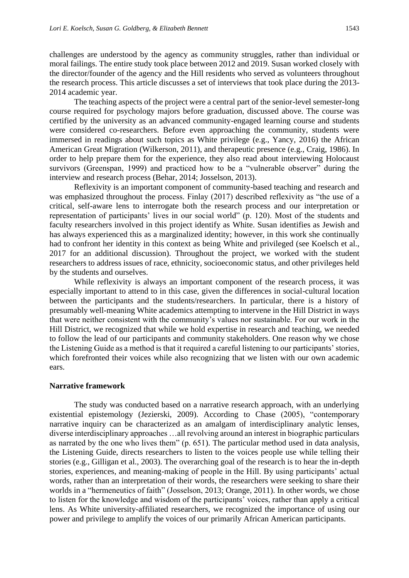challenges are understood by the agency as community struggles, rather than individual or moral failings. The entire study took place between 2012 and 2019. Susan worked closely with the director/founder of the agency and the Hill residents who served as volunteers throughout the research process. This article discusses a set of interviews that took place during the 2013- 2014 academic year.

The teaching aspects of the project were a central part of the senior-level semester-long course required for psychology majors before graduation, discussed above. The course was certified by the university as an advanced community-engaged learning course and students were considered co-researchers. Before even approaching the community, students were immersed in readings about such topics as White privilege (e.g., Yancy, 2016) the African American Great Migration (Wilkerson, 2011), and therapeutic presence (e.g., Craig, 1986). In order to help prepare them for the experience, they also read about interviewing Holocaust survivors (Greenspan, 1999) and practiced how to be a "vulnerable observer" during the interview and research process (Behar, 2014; Josselson, 2013).

Reflexivity is an important component of community-based teaching and research and was emphasized throughout the process. Finlay (2017) described reflexivity as "the use of a critical, self-aware lens to interrogate both the research process and our interpretation or representation of participants' lives in our social world" (p. 120). Most of the students and faculty researchers involved in this project identify as White. Susan identifies as Jewish and has always experienced this as a marginalized identity; however, in this work she continually had to confront her identity in this context as being White and privileged (see Koelsch et al., 2017 for an additional discussion). Throughout the project, we worked with the student researchers to address issues of race, ethnicity, socioeconomic status, and other privileges held by the students and ourselves.

While reflexivity is always an important component of the research process, it was especially important to attend to in this case, given the differences in social-cultural location between the participants and the students/researchers. In particular, there is a history of presumably well-meaning White academics attempting to intervene in the Hill District in ways that were neither consistent with the community's values nor sustainable. For our work in the Hill District, we recognized that while we hold expertise in research and teaching, we needed to follow the lead of our participants and community stakeholders. One reason why we chose the Listening Guide as a method is that it required a careful listening to our participants' stories, which forefronted their voices while also recognizing that we listen with our own academic ears.

#### **Narrative framework**

The study was conducted based on a narrative research approach, with an underlying existential epistemology (Jezierski, 2009). According to Chase (2005), "contemporary narrative inquiry can be characterized as an amalgam of interdisciplinary analytic lenses, diverse interdisciplinary approaches …all revolving around an interest in biographic particulars as narrated by the one who lives them" (p. 651). The particular method used in data analysis, the Listening Guide, directs researchers to listen to the voices people use while telling their stories (e.g., Gilligan et al., 2003). The overarching goal of the research is to hear the in-depth stories, experiences, and meaning-making of people in the Hill. By using participants' actual words, rather than an interpretation of their words, the researchers were seeking to share their worlds in a "hermeneutics of faith" (Josselson, 2013; Orange, 2011). In other words, we chose to listen for the knowledge and wisdom of the participants' voices, rather than apply a critical lens. As White university-affiliated researchers, we recognized the importance of using our power and privilege to amplify the voices of our primarily African American participants.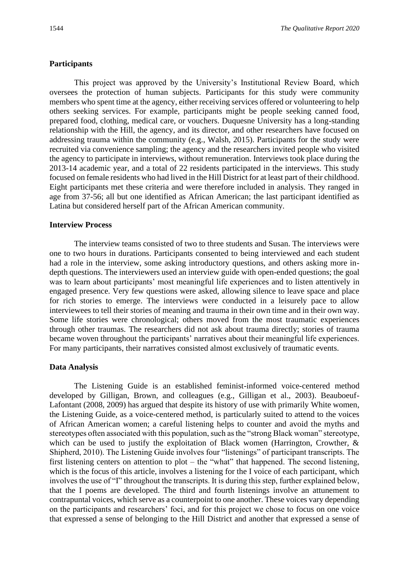## **Participants**

This project was approved by the University's Institutional Review Board, which oversees the protection of human subjects. Participants for this study were community members who spent time at the agency, either receiving services offered or volunteering to help others seeking services. For example, participants might be people seeking canned food, prepared food, clothing, medical care, or vouchers. Duquesne University has a long-standing relationship with the Hill, the agency, and its director, and other researchers have focused on addressing trauma within the community (e.g., Walsh, 2015). Participants for the study were recruited via convenience sampling; the agency and the researchers invited people who visited the agency to participate in interviews, without remuneration. Interviews took place during the 2013-14 academic year, and a total of 22 residents participated in the interviews. This study focused on female residents who had lived in the Hill District for at least part of their childhood. Eight participants met these criteria and were therefore included in analysis. They ranged in age from 37-56; all but one identified as African American; the last participant identified as Latina but considered herself part of the African American community.

### **Interview Process**

The interview teams consisted of two to three students and Susan. The interviews were one to two hours in durations. Participants consented to being interviewed and each student had a role in the interview, some asking introductory questions, and others asking more indepth questions. The interviewers used an interview guide with open-ended questions; the goal was to learn about participants' most meaningful life experiences and to listen attentively in engaged presence. Very few questions were asked, allowing silence to leave space and place for rich stories to emerge. The interviews were conducted in a leisurely pace to allow interviewees to tell their stories of meaning and trauma in their own time and in their own way. Some life stories were chronological; others moved from the most traumatic experiences through other traumas. The researchers did not ask about trauma directly; stories of trauma became woven throughout the participants' narratives about their meaningful life experiences. For many participants, their narratives consisted almost exclusively of traumatic events.

## **Data Analysis**

The Listening Guide is an established feminist-informed voice-centered method developed by Gilligan, Brown, and colleagues (e.g., Gilligan et al., 2003). Beauboeuf-Lafontant (2008, 2009) has argued that despite its history of use with primarily White women, the Listening Guide, as a voice-centered method, is particularly suited to attend to the voices of African American women; a careful listening helps to counter and avoid the myths and stereotypes often associated with this population, such as the "strong Black woman" stereotype, which can be used to justify the exploitation of Black women (Harrington, Crowther, & Shipherd, 2010). The Listening Guide involves four "listenings" of participant transcripts. The first listening centers on attention to plot – the "what" that happened. The second listening, which is the focus of this article, involves a listening for the I voice of each participant, which involves the use of "I" throughout the transcripts. It is during this step, further explained below, that the I poems are developed. The third and fourth listenings involve an attunement to contrapuntal voices, which serve as a counterpoint to one another. These voices vary depending on the participants and researchers' foci, and for this project we chose to focus on one voice that expressed a sense of belonging to the Hill District and another that expressed a sense of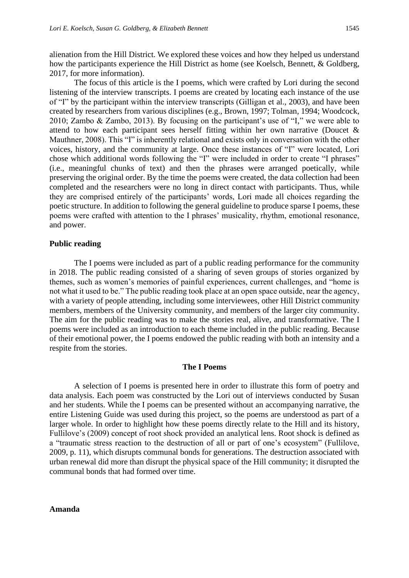alienation from the Hill District. We explored these voices and how they helped us understand how the participants experience the Hill District as home (see Koelsch, Bennett, & Goldberg, 2017, for more information).

The focus of this article is the I poems, which were crafted by Lori during the second listening of the interview transcripts. I poems are created by locating each instance of the use of "I" by the participant within the interview transcripts (Gilligan et al., 2003), and have been created by researchers from various disciplines (e.g., Brown, 1997; Tolman, 1994; Woodcock, 2010; Zambo & Zambo, 2013). By focusing on the participant's use of "I," we were able to attend to how each participant sees herself fitting within her own narrative (Doucet & Mauthner, 2008). This "I" is inherently relational and exists only in conversation with the other voices, history, and the community at large. Once these instances of "I" were located, Lori chose which additional words following the "I" were included in order to create "I phrases" (i.e., meaningful chunks of text) and then the phrases were arranged poetically, while preserving the original order. By the time the poems were created, the data collection had been completed and the researchers were no long in direct contact with participants. Thus, while they are comprised entirely of the participants' words, Lori made all choices regarding the poetic structure. In addition to following the general guideline to produce sparse I poems, these poems were crafted with attention to the I phrases' musicality, rhythm, emotional resonance, and power.

#### **Public reading**

The I poems were included as part of a public reading performance for the community in 2018. The public reading consisted of a sharing of seven groups of stories organized by themes, such as women's memories of painful experiences, current challenges, and "home is not what it used to be." The public reading took place at an open space outside, near the agency, with a variety of people attending, including some interviewees, other Hill District community members, members of the University community, and members of the larger city community. The aim for the public reading was to make the stories real, alive, and transformative. The I poems were included as an introduction to each theme included in the public reading. Because of their emotional power, the I poems endowed the public reading with both an intensity and a respite from the stories.

#### **The I Poems**

A selection of I poems is presented here in order to illustrate this form of poetry and data analysis. Each poem was constructed by the Lori out of interviews conducted by Susan and her students. While the I poems can be presented without an accompanying narrative, the entire Listening Guide was used during this project, so the poems are understood as part of a larger whole. In order to highlight how these poems directly relate to the Hill and its history, Fullilove's (2009) concept of root shock provided an analytical lens. Root shock is defined as a "traumatic stress reaction to the destruction of all or part of one's ecosystem" (Fullilove, 2009, p. 11), which disrupts communal bonds for generations. The destruction associated with urban renewal did more than disrupt the physical space of the Hill community; it disrupted the communal bonds that had formed over time.

#### **Amanda**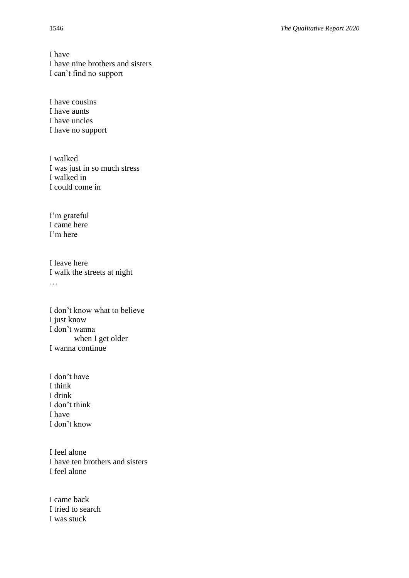I have I have nine brothers and sisters I can't find no support

I have cousins I have aunts I have uncles I have no support

I walked I was just in so much stress I walked in I could come in

I'm grateful I came here I'm here

I leave here I walk the streets at night …

I don't know what to believe I just know I don't wanna when I get older I wanna continue

I don't have I think I drink I don't think I have I don't know

I feel alone I have ten brothers and sisters I feel alone

I came back I tried to search I was stuck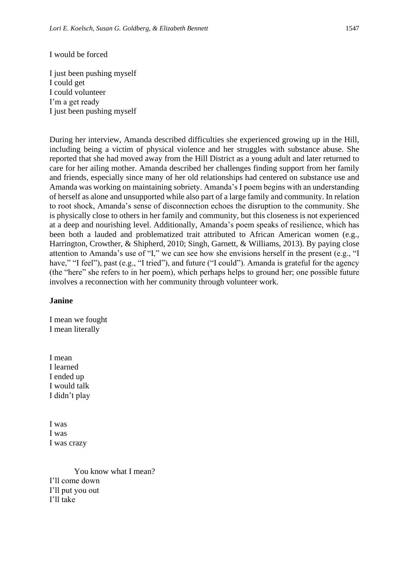#### I would be forced

I just been pushing myself I could get I could volunteer I'm a get ready I just been pushing myself

During her interview, Amanda described difficulties she experienced growing up in the Hill, including being a victim of physical violence and her struggles with substance abuse. She reported that she had moved away from the Hill District as a young adult and later returned to care for her ailing mother. Amanda described her challenges finding support from her family and friends, especially since many of her old relationships had centered on substance use and Amanda was working on maintaining sobriety. Amanda's I poem begins with an understanding of herself as alone and unsupported while also part of a large family and community. In relation to root shock, Amanda's sense of disconnection echoes the disruption to the community. She is physically close to others in her family and community, but this closeness is not experienced at a deep and nourishing level. Additionally, Amanda's poem speaks of resilience, which has been both a lauded and problematized trait attributed to African American women (e.g., Harrington, Crowther, & Shipherd, 2010; Singh, Garnett, & Williams, 2013). By paying close attention to Amanda's use of "I," we can see how she envisions herself in the present (e.g., "I have," "I feel"), past (e.g., "I tried"), and future ("I could"). Amanda is grateful for the agency (the "here" she refers to in her poem), which perhaps helps to ground her; one possible future involves a reconnection with her community through volunteer work.

#### **Janine**

I mean we fought I mean literally

I mean I learned I ended up I would talk I didn't play

I was I was I was crazy

You know what I mean? I'll come down I'll put you out I'll take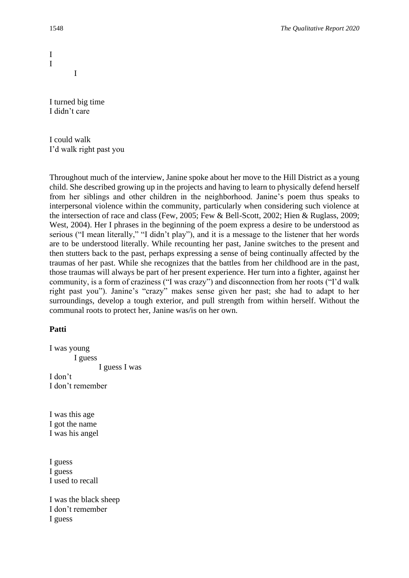I turned big time I didn't care

I

I could walk I'd walk right past you

Throughout much of the interview, Janine spoke about her move to the Hill District as a young child. She described growing up in the projects and having to learn to physically defend herself from her siblings and other children in the neighborhood. Janine's poem thus speaks to interpersonal violence within the community, particularly when considering such violence at the intersection of race and class (Few, 2005; Few & Bell-Scott, 2002; Hien & Ruglass, 2009; West, 2004). Her I phrases in the beginning of the poem express a desire to be understood as serious ("I mean literally," "I didn't play"), and it is a message to the listener that her words are to be understood literally. While recounting her past, Janine switches to the present and then stutters back to the past, perhaps expressing a sense of being continually affected by the traumas of her past. While she recognizes that the battles from her childhood are in the past, those traumas will always be part of her present experience. Her turn into a fighter, against her community, is a form of craziness ("I was crazy") and disconnection from her roots ("I'd walk right past you"). Janine's "crazy" makes sense given her past; she had to adapt to her surroundings, develop a tough exterior, and pull strength from within herself. Without the communal roots to protect her, Janine was/is on her own.

## **Patti**

I was young I guess I guess I was I don't I don't remember

I was this age I got the name I was his angel

I guess I guess I used to recall

I was the black sheep I don't remember I guess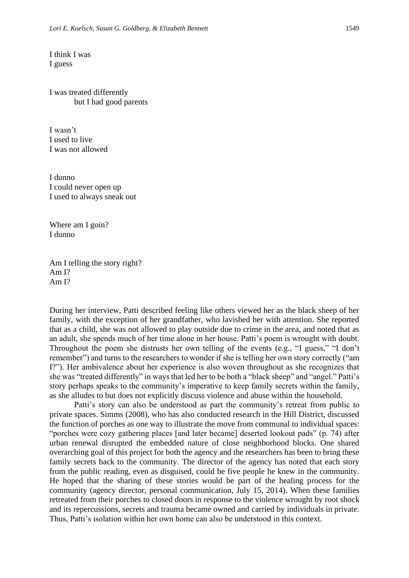I think I was I guess

I was treated differently but I had good parents

I wasn't I used to live I was not allowed

I dunno I could never open up I used to always sneak out

Where am I goin? I dunno

Am I telling the story right? Am I? Am I?

During her interview, Patti described feeling like others viewed her as the black sheep of her family, with the exception of her grandfather, who lavished her with attention. She reported that as a child, she was not allowed to play outside due to crime in the area, and noted that as an adult, she spends much of her time alone in her house. Patti's poem is wrought with doubt. Throughout the poem she distrusts her own telling of the events (e.g., "I guess," "I don't remember") and turns to the researchers to wonder if she is telling her own story correctly ("am I?"). Her ambivalence about her experience is also woven throughout as she recognizes that she was "treated differently" in ways that led her to be both a "black sheep" and "angel." Patti's story perhaps speaks to the community's imperative to keep family secrets within the family, as she alludes to but does not explicitly discuss violence and abuse within the household.

Patti's story can also be understood as part the community's retreat from public to private spaces. Simms (2008), who has also conducted research in the Hill District, discussed the function of porches as one way to illustrate the move from communal to individual spaces: "porches were cozy gathering places [and later became] deserted lookout pads" (p. 74) after urban renewal disrupted the embedded nature of close neighborhood blocks. One shared overarching goal of this project for both the agency and the researchers has been to bring these family secrets back to the community. The director of the agency has noted that each story from the public reading, even as disguised, could be five people he knew in the community. He hoped that the sharing of these stories would be part of the healing process for the community (agency director, personal communication, July 15, 2014). When these families retreated from their porches to closed doors in response to the violence wrought by root shock and its repercussions, secrets and trauma became owned and carried by individuals in private. Thus, Patti's isolation within her own home can also be understood in this context.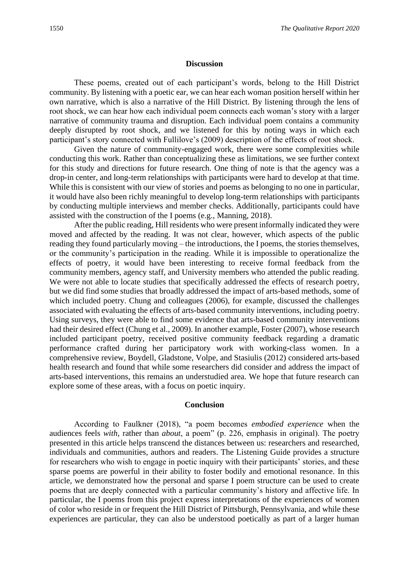#### **Discussion**

These poems, created out of each participant's words, belong to the Hill District community. By listening with a poetic ear, we can hear each woman position herself within her own narrative, which is also a narrative of the Hill District. By listening through the lens of root shock, we can hear how each individual poem connects each woman's story with a larger narrative of community trauma and disruption. Each individual poem contains a community deeply disrupted by root shock, and we listened for this by noting ways in which each participant's story connected with Fullilove's (2009) description of the effects of root shock.

Given the nature of community-engaged work, there were some complexities while conducting this work. Rather than conceptualizing these as limitations, we see further context for this study and directions for future research. One thing of note is that the agency was a drop-in center, and long-term relationships with participants were hard to develop at that time. While this is consistent with our view of stories and poems as belonging to no one in particular, it would have also been richly meaningful to develop long-term relationships with participants by conducting multiple interviews and member checks. Additionally, participants could have assisted with the construction of the I poems (e.g., Manning, 2018).

After the public reading, Hill residents who were present informally indicated they were moved and affected by the reading. It was not clear, however, which aspects of the public reading they found particularly moving – the introductions, the I poems, the stories themselves, or the community's participation in the reading. While it is impossible to operationalize the effects of poetry, it would have been interesting to receive formal feedback from the community members, agency staff, and University members who attended the public reading. We were not able to locate studies that specifically addressed the effects of research poetry, but we did find some studies that broadly addressed the impact of arts-based methods, some of which included poetry. Chung and colleagues (2006), for example, discussed the challenges associated with evaluating the effects of arts-based community interventions, including poetry. Using surveys, they were able to find some evidence that arts-based community interventions had their desired effect (Chung et al., 2009). In another example, Foster (2007), whose research included participant poetry, received positive community feedback regarding a dramatic performance crafted during her participatory work with working-class women. In a comprehensive review, Boydell, Gladstone, Volpe, and Stasiulis (2012) considered arts-based health research and found that while some researchers did consider and address the impact of arts-based interventions, this remains an understudied area. We hope that future research can explore some of these areas, with a focus on poetic inquiry.

#### **Conclusion**

According to Faulkner (2018), "a poem becomes *embodied experience* when the audiences feels *with*, rather than *about*, a poem" (p. 226, emphasis in original). The poetry presented in this article helps transcend the distances between us: researchers and researched, individuals and communities, authors and readers. The Listening Guide provides a structure for researchers who wish to engage in poetic inquiry with their participants' stories, and these sparse poems are powerful in their ability to foster bodily and emotional resonance. In this article, we demonstrated how the personal and sparse I poem structure can be used to create poems that are deeply connected with a particular community's history and affective life. In particular, the I poems from this project express interpretations of the experiences of women of color who reside in or frequent the Hill District of Pittsburgh, Pennsylvania, and while these experiences are particular, they can also be understood poetically as part of a larger human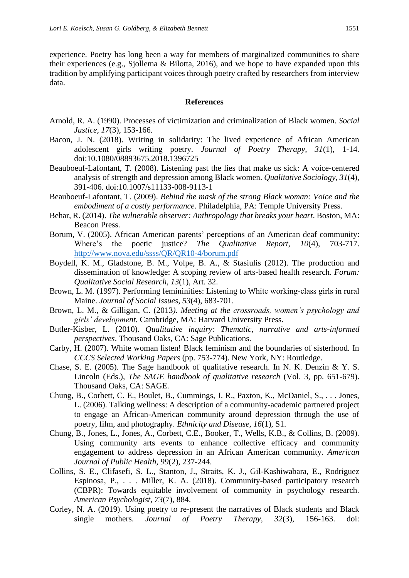experience. Poetry has long been a way for members of marginalized communities to share their experiences (e.g., Sjollema & Bilotta, 2016), and we hope to have expanded upon this tradition by amplifying participant voices through poetry crafted by researchers from interview data.

#### **References**

- Arnold, R. A. (1990). Processes of victimization and criminalization of Black women. *Social Justice, 17*(3), 153-166.
- Bacon, J. N. (2018). Writing in solidarity: The lived experience of African American adolescent girls writing poetry. *Journal of Poetry Therapy, 31*(1), 1-14. doi:10.1080/08893675.2018.1396725
- Beauboeuf-Lafontant, T. (2008). Listening past the lies that make us sick: A voice-centered analysis of strength and depression among Black women. *Qualitative Sociology, 31*(4), 391-406. doi:10.1007/s11133-008-9113-1
- Beauboeuf-Lafontant, T. (2009). *Behind the mask of the strong Black woman: Voice and the embodiment of a costly performance*. Philadelphia, PA: Temple University Press.
- Behar, R. (2014). *The vulnerable observer: Anthropology that breaks your heart*. Boston, MA: Beacon Press.
- Borum, V. (2005). African American parents' perceptions of an American deaf community: Where's the poetic justice? *The Qualitative Report, 10*(4), 703-717. <http://www.nova.edu/ssss/QR/QR10-4/borum.pdf>
- Boydell, K. M., Gladstone, B. M., Volpe, B. A., & Stasiulis (2012). The production and dissemination of knowledge: A scoping review of arts-based health research. *Forum: Qualitative Social Research, 13*(1), Art. 32.
- Brown, L. M. (1997). Performing femininities: Listening to White working-class girls in rural Maine. *Journal of Social Issues, 53*(4), 683-701.
- Brown, L. M., & Gilligan, C. (2013*). Meeting at the crossroads, women's psychology and girls' development*. Cambridge, MA: Harvard University Press.
- Butler-Kisber, L. (2010). *Qualitative inquiry: Thematic, narrative and arts-informed perspectives*. Thousand Oaks, CA: Sage Publications.
- Carby, H. (2007). White woman listen! Black feminism and the boundaries of sisterhood. In *CCCS Selected Working Papers* (pp. 753-774). New York, NY: Routledge.
- Chase, S. E. (2005). The Sage handbook of qualitative research. In N. K. Denzin & Y. S. Lincoln (Eds.), *The SAGE handbook of qualitative research* (Vol. 3, pp. 651-679). Thousand Oaks, CA: SAGE.
- Chung, B., Corbett, C. E., Boulet, B., Cummings, J. R., Paxton, K., McDaniel, S., . . . Jones, L. (2006). Talking wellness: A description of a community-academic partnered project to engage an African-American community around depression through the use of poetry, film, and photography. *Ethnicity and Disease, 16*(1), S1.
- Chung, B., Jones, L., Jones, A., Corbett, C.E., Booker, T., Wells, K.B., & Collins, B. (2009). Using community arts events to enhance collective efficacy and community engagement to address depression in an African American community. *American Journal of Public Health, 99*(2), 237-244.
- Collins, S. E., Clifasefi, S. L., Stanton, J., Straits, K. J., Gil-Kashiwabara, E., Rodriguez Espinosa, P., . . . Miller, K. A. (2018). Community-based participatory research (CBPR): Towards equitable involvement of community in psychology research. *American Psychologist, 73*(7), 884.
- Corley, N. A. (2019). Using poetry to re-present the narratives of Black students and Black single mothers. *Journal of Poetry Therapy, 32*(3), 156-163. doi: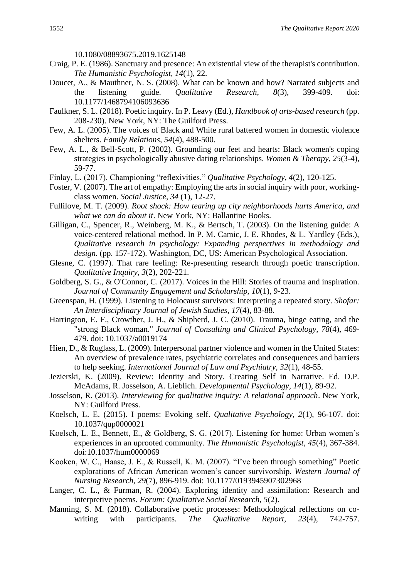10.1080/08893675.2019.1625148

- Craig, P. E. (1986). Sanctuary and presence: An existential view of the therapist's contribution. *The Humanistic Psychologist, 14*(1), 22.
- Doucet, A., & Mauthner, N. S. (2008). What can be known and how? Narrated subjects and the listening guide. *Qualitative Research, 8*(3), 399-409. doi: 10.1177/1468794106093636
- Faulkner, S. L. (2018). Poetic inquiry. In P. Leavy (Ed.), *Handbook of arts-based research* (pp. 208-230). New York, NY: The Guilford Press.
- Few, A. L. (2005). The voices of Black and White rural battered women in domestic violence shelters. *Family Relations, 54*(4), 488-500.
- Few, A. L., & Bell-Scott, P. (2002). Grounding our feet and hearts: Black women's coping strategies in psychologically abusive dating relationships. *Women & Therapy, 25*(3-4), 59-77.
- Finlay, L. (2017). Championing "reflexivities." *Qualitative Psychology, 4*(2), 120-125.
- Foster, V. (2007). The art of empathy: Employing the arts in social inquiry with poor, workingclass women. *Social Justice, 34* (1), 12-27.
- Fullilove, M. T. (2009). *Root shock: How tearing up city neighborhoods hurts America, and what we can do about it*. New York, NY: Ballantine Books.
- Gilligan, C., Spencer, R., Weinberg, M. K., & Bertsch, T. (2003). On the listening guide: A voice-centered relational method. In P. M. Camic, J. E. Rhodes, & L. Yardley (Eds.), *Qualitative research in psychology: Expanding perspectives in methodology and design.* (pp. 157-172). Washington, DC, US: American Psychological Association.
- Glesne, C. (1997). That rare feeling: Re-presenting research through poetic transcription. *Qualitative Inquiry, 3*(2), 202-221.
- Goldberg, S. G., & O'Connor, C. (2017). Voices in the Hill: Stories of trauma and inspiration. *Journal of Community Engagement and Scholarship, 10*(1), 9-23.
- Greenspan, H. (1999). Listening to Holocaust survivors: Interpreting a repeated story. *Shofar: An Interdisciplinary Journal of Jewish Studies, 17*(4), 83-88.
- Harrington, E. F., Crowther, J. H., & Shipherd, J. C. (2010). Trauma, binge eating, and the "strong Black woman." *Journal of Consulting and Clinical Psychology, 78*(4), 469- 479. doi: 10.1037/a0019174
- Hien, D., & Ruglass, L. (2009). Interpersonal partner violence and women in the United States: An overview of prevalence rates, psychiatric correlates and consequences and barriers to help seeking. *International Journal of Law and Psychiatry, 32*(1), 48-55.
- Jezierski, K. (2009). Review: Identity and Story. Creating Self in Narrative. Ed. D.P. McAdams, R. Josselson, A. Lieblich. *Developmental Psychology, 14*(1), 89-92.
- Josselson, R. (2013). *Interviewing for qualitative inquiry: A relational approach*. New York, NY: Guilford Press.
- Koelsch, L. E. (2015). I poems: Evoking self. *Qualitative Psychology, 2*(1), 96-107. doi: 10.1037/qup0000021
- Koelsch, L. E., Bennett, E., & Goldberg, S. G. (2017). Listening for home: Urban women's experiences in an uprooted community. *The Humanistic Psychologist, 45*(4), 367-384. doi:10.1037/hum0000069
- Kooken, W. C., Haase, J. E., & Russell, K. M. (2007). "I've been through something" Poetic explorations of African American women's cancer survivorship. *Western Journal of Nursing Research, 29*(7), 896-919. doi: 10.1177/0193945907302968
- Langer, C. L., & Furman, R. (2004). Exploring identity and assimilation: Research and interpretive poems. *Forum: Qualitative Social Research, 5*(2).
- Manning, S. M. (2018). Collaborative poetic processes: Methodological reflections on cowriting with participants. *The Qualitative Report, 23*(4), 742-757.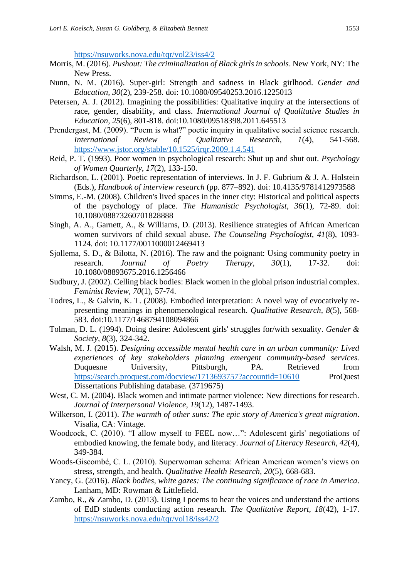<https://nsuworks.nova.edu/tqr/vol23/iss4/2>

- Morris, M. (2016). *Pushout: The criminalization of Black girls in schools*. New York, NY: The New Press.
- Nunn, N. M. (2016). Super-girl: Strength and sadness in Black girlhood. *Gender and Education, 30*(2), 239-258. doi: 10.1080/09540253.2016.1225013
- Petersen, A. J. (2012). Imagining the possibilities: Qualitative inquiry at the intersections of race, gender, disability, and class. *International Journal of Qualitative Studies in Education, 25*(6), 801-818. doi:10.1080/09518398.2011.645513
- Prendergast, M. (2009). "Poem is what?" poetic inquiry in qualitative social science research. *International Review of Qualitative Research, 1*(4), 541-568. <https://www.jstor.org/stable/10.1525/irqr.2009.1.4.541>
- Reid, P. T. (1993). Poor women in psychological research: Shut up and shut out. *Psychology of Women Quarterly, 17*(2), 133-150.
- Richardson, L. (2001). Poetic representation of interviews. In J. F. Gubrium & J. A. Holstein (Eds.), *Handbook of interview research* (pp. 877–892). doi: 10.4135/9781412973588
- Simms, E.-M. (2008). Children's lived spaces in the inner city: Historical and political aspects of the psychology of place. *The Humanistic Psychologist, 36*(1), 72-89. doi: 10.1080/08873260701828888
- Singh, A. A., Garnett, A., & Williams, D. (2013). Resilience strategies of African American women survivors of child sexual abuse. *The Counseling Psychologist, 41*(8), 1093- 1124. doi: 10.1177/0011000012469413
- Sjollema, S. D., & Bilotta, N. (2016). The raw and the poignant: Using community poetry in research. *Journal of Poetry Therapy, 30*(1), 17-32. doi: 10.1080/08893675.2016.1256466
- Sudbury, J. (2002). Celling black bodies: Black women in the global prison industrial complex. *Feminist Review, 70*(1), 57-74.
- Todres, L., & Galvin, K. T. (2008). Embodied interpretation: A novel way of evocatively representing meanings in phenomenological research. *Qualitative Research, 8*(5), 568- 583. doi:10.1177/1468794108094866
- Tolman, D. L. (1994). Doing desire: Adolescent girls' struggles for/with sexuality. *Gender & Society, 8*(3), 324-342.
- Walsh, M. J. (2015). *Designing accessible mental health care in an urban community: Lived experiences of key stakeholders planning emergent community-based services.*  Duquesne University, Pittsburgh, PA. Retrieved from <https://search.proquest.com/docview/1713693757?accountid=10610> ProQuest Dissertations Publishing database. (3719675)
- West, C. M. (2004). Black women and intimate partner violence: New directions for research. *Journal of Interpersonal Violence, 19*(12), 1487-1493.
- Wilkerson, I. (2011). *The warmth of other suns: The epic story of America's great migration*. Visalia, CA: Vintage.
- Woodcock, C. (2010). "I allow myself to FEEL now…": Adolescent girls' negotiations of embodied knowing, the female body, and literacy. *Journal of Literacy Research, 42*(4), 349-384.
- Woods-Giscombé, C. L. (2010). Superwoman schema: African American women's views on stress, strength, and health. *Qualitative Health Research, 20*(5), 668-683.
- Yancy, G. (2016). *Black bodies, white gazes: The continuing significance of race in America*. Lanham, MD: Rowman & Littlefield.
- Zambo, R., & Zambo, D. (2013). Using I poems to hear the voices and understand the actions of EdD students conducting action research. *The Qualitative Report, 18*(42), 1-17. <https://nsuworks.nova.edu/tqr/vol18/iss42/2>